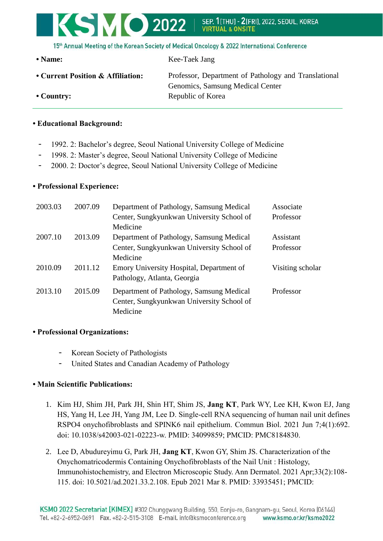# KSMO 2022 SEP. 1[THU] - 2[FRI], 2022, SEOUL, KOREA<br>VIRTUAL & ONSITE

15th Annual Meeting of the Korean Society of Medical Oncology & 2022 International Conference

**• Name:** Kee-Taek Jang

| • Current Position & Affiliation: |  |
|-----------------------------------|--|
|-----------------------------------|--|

Professor, Department of Pathology and Translational Genomics, Samsung Medical Center • Country: Republic of Korea

### **• Educational Background:**

- 1992. 2: Bachelor's degree, Seoul National University College of Medicine
- 1998. 2: Master's degree, Seoul National University College of Medicine
- 2000. 2: Doctor's degree, Seoul National University College of Medicine

#### **• Professional Experience:**

| 2003.03            | 2007.09                                  | Department of Pathology, Samsung Medical  | Associate        |
|--------------------|------------------------------------------|-------------------------------------------|------------------|
|                    |                                          | Center, Sungkyunkwan University School of | Professor        |
|                    |                                          | Medicine                                  |                  |
| 2007.10<br>2013.09 | Department of Pathology, Samsung Medical | Assistant                                 |                  |
|                    |                                          | Center, Sungkyunkwan University School of | Professor        |
|                    |                                          | Medicine                                  |                  |
| 2010.09            | 2011.12                                  | Emory University Hospital, Department of  | Visiting scholar |
|                    |                                          | Pathology, Atlanta, Georgia               |                  |
| 2013.10            | 2015.09                                  | Department of Pathology, Samsung Medical  | Professor        |
|                    |                                          | Center, Sungkyunkwan University School of |                  |
|                    |                                          | Medicine                                  |                  |

#### **• Professional Organizations:**

- Korean Society of Pathologists
- United States and Canadian Academy of Pathology

#### **• Main Scientific Publications:**

- 1. Kim HJ, Shim JH, Park JH, Shin HT, Shim JS, **Jang KT**, Park WY, Lee KH, Kwon EJ, Jang HS, Yang H, Lee JH, Yang JM, Lee D. Single-cell RNA sequencing of human nail unit defines RSPO4 onychofibroblasts and SPINK6 nail epithelium. Commun Biol. 2021 Jun 7;4(1):692. doi: 10.1038/s42003-021-02223-w. PMID: 34099859; PMCID: PMC8184830.
- 2. Lee D, Abudureyimu G, Park JH, **Jang KT**, Kwon GY, Shim JS. Characterization of the Onychomatricodermis Containing Onychofibroblasts of the Nail Unit : Histology, Immunohistochemistry, and Electron Microscopic Study. Ann Dermatol. 2021 Apr;33(2):108- 115. doi: 10.5021/ad.2021.33.2.108. Epub 2021 Mar 8. PMID: 33935451; PMCID: